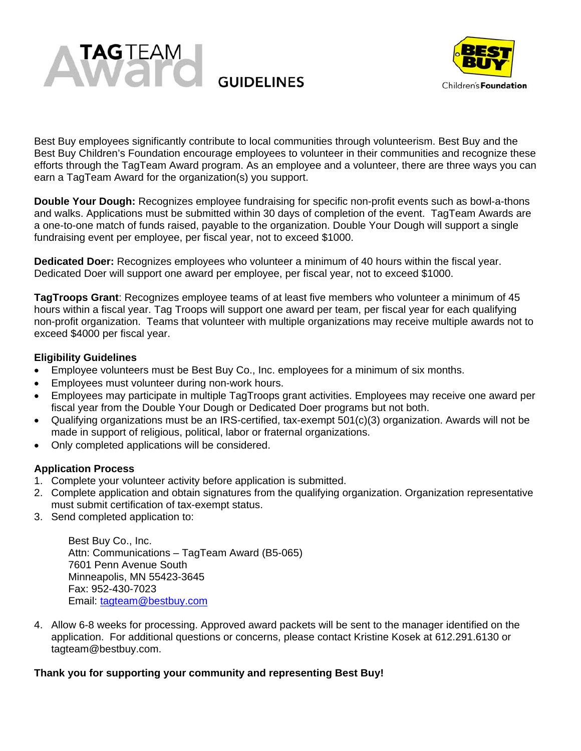



Best Buy employees significantly contribute to local communities through volunteerism. Best Buy and the Best Buy Children's Foundation encourage employees to volunteer in their communities and recognize these efforts through the TagTeam Award program. As an employee and a volunteer, there are three ways you can earn a TagTeam Award for the organization(s) you support.

**Double Your Dough:** Recognizes employee fundraising for specific non-profit events such as bowl-a-thons and walks. Applications must be submitted within 30 days of completion of the event. TagTeam Awards are a one-to-one match of funds raised, payable to the organization. Double Your Dough will support a single fundraising event per employee, per fiscal year, not to exceed \$1000.

**Dedicated Doer:** Recognizes employees who volunteer a minimum of 40 hours within the fiscal year. Dedicated Doer will support one award per employee, per fiscal year, not to exceed \$1000.

**TagTroops Grant**: Recognizes employee teams of at least five members who volunteer a minimum of 45 hours within a fiscal year. Tag Troops will support one award per team, per fiscal year for each qualifying non-profit organization. Teams that volunteer with multiple organizations may receive multiple awards not to exceed \$4000 per fiscal year.

# **Eligibility Guidelines**

- Employee volunteers must be Best Buy Co., Inc. employees for a minimum of six months.
- Employees must volunteer during non-work hours.
- Employees may participate in multiple TagTroops grant activities. Employees may receive one award per fiscal year from the Double Your Dough or Dedicated Doer programs but not both.
- Qualifying organizations must be an IRS-certified, tax-exempt 501(c)(3) organization. Awards will not be made in support of religious, political, labor or fraternal organizations.
- Only completed applications will be considered.

# **Application Process**

- 1. Complete your volunteer activity before application is submitted.
- 2. Complete application and obtain signatures from the qualifying organization. Organization representative must submit certification of tax-exempt status.
- 3. Send completed application to:

Best Buy Co., Inc. Attn: Communications – TagTeam Award (B5-065) 7601 Penn Avenue South Minneapolis, MN 55423-3645 Fax: 952-430-7023 Email: tagteam@bestbuy.com

4. Allow 6-8 weeks for processing. Approved award packets will be sent to the manager identified on the application. For additional questions or concerns, please contact Kristine Kosek at 612.291.6130 or tagteam@bestbuy.com.

### **Thank you for supporting your community and representing Best Buy!**